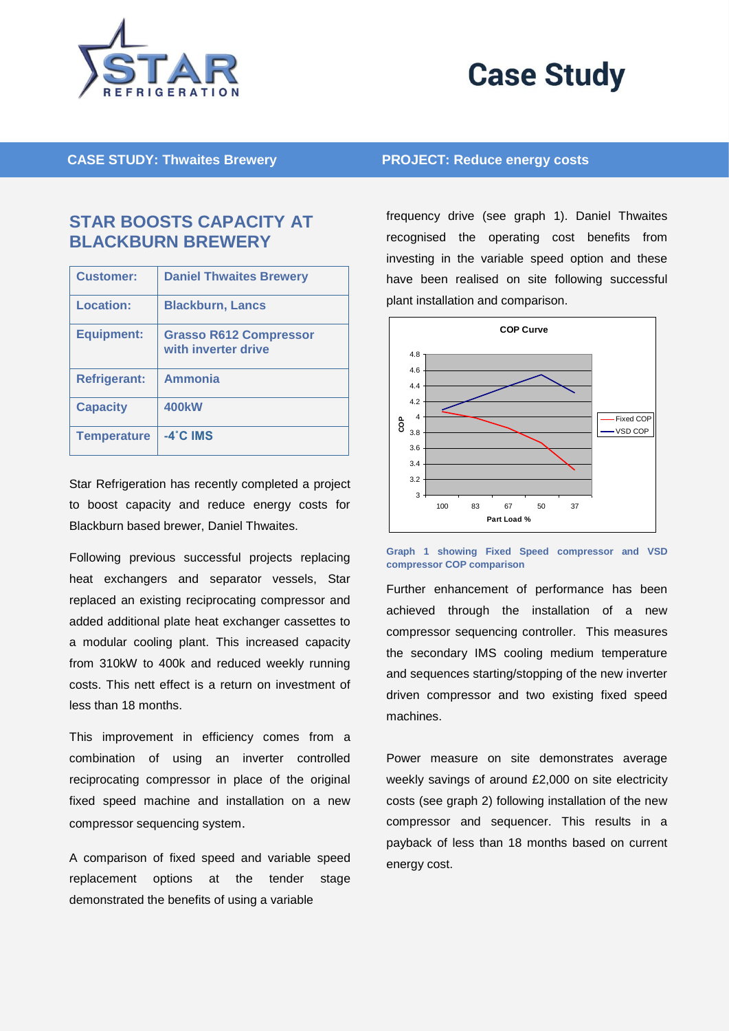



**CASE STUDY: Thwaites Brewery PROJECT: Reduce energy costs**

## **STAR BOOSTS CAPACITY AT BLACKBURN BREWERY**

| <b>Customer:</b>    | <b>Daniel Thwaites Brewery</b>                       |
|---------------------|------------------------------------------------------|
| Location:           | <b>Blackburn, Lancs</b>                              |
| <b>Equipment:</b>   | <b>Grasso R612 Compressor</b><br>with inverter drive |
| <b>Refrigerant:</b> | <b>Ammonia</b>                                       |
| <b>Capacity</b>     | <b>400kW</b>                                         |
| <b>Temperature</b>  | $-4^\circ$ C IMS                                     |

Star Refrigeration has recently completed a project to boost capacity and reduce energy costs for Blackburn based brewer, Daniel Thwaites.

Following previous successful projects replacing heat exchangers and separator vessels, Star replaced an existing reciprocating compressor and added additional plate heat exchanger cassettes to a modular cooling plant. This increased capacity from 310kW to 400k and reduced weekly running costs. This nett effect is a return on investment of less than 18 months.

This improvement in efficiency comes from a combination of using an inverter controlled reciprocating compressor in place of the original fixed speed machine and installation on a new compressor sequencing system.

A comparison of fixed speed and variable speed replacement options at the tender stage demonstrated the benefits of using a variable

frequency drive (see graph 1). Daniel Thwaites recognised the operating cost benefits from investing in the variable speed option and these have been realised on site following successful plant installation and comparison.



**Graph 1 showing Fixed Speed compressor and VSD compressor COP comparison**

Further enhancement of performance has been achieved through the installation of a new compressor sequencing controller. This measures the secondary IMS cooling medium temperature and sequences starting/stopping of the new inverter driven compressor and two existing fixed speed machines.

Power measure on site demonstrates average weekly savings of around £2,000 on site electricity costs (see graph 2) following installation of the new compressor and sequencer. This results in a payback of less than 18 months based on current energy cost.